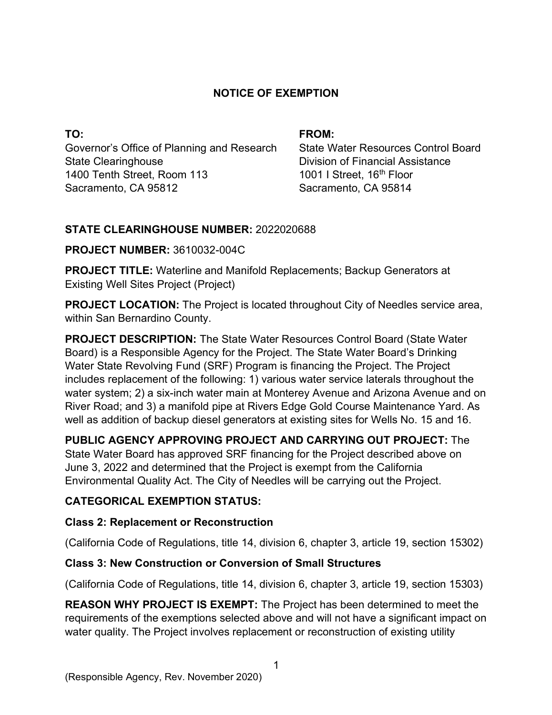## **NOTICE OF EXEMPTION**

**TO:**  Governor's Office of Planning and Research State Clearinghouse 1400 Tenth Street, Room 113 Sacramento, CA 95812

#### **FROM:**

State Water Resources Control Board Division of Financial Assistance 1001 I Street, 16<sup>th</sup> Floor Sacramento, CA 95814

### **STATE CLEARINGHOUSE NUMBER:** 2022020688

### **PROJECT NUMBER:** 3610032-004C

**PROJECT TITLE:** Waterline and Manifold Replacements; Backup Generators at Existing Well Sites Project (Project)

**PROJECT LOCATION:** The Project is located throughout City of Needles service area, within San Bernardino County.

**PROJECT DESCRIPTION:** The State Water Resources Control Board (State Water Board) is a Responsible Agency for the Project. The State Water Board's Drinking Water State Revolving Fund (SRF) Program is financing the Project. The Project includes replacement of the following: 1) various water service laterals throughout the water system; 2) a six-inch water main at Monterey Avenue and Arizona Avenue and on River Road; and 3) a manifold pipe at Rivers Edge Gold Course Maintenance Yard. As well as addition of backup diesel generators at existing sites for Wells No. 15 and 16.

**PUBLIC AGENCY APPROVING PROJECT AND CARRYING OUT PROJECT:** The State Water Board has approved SRF financing for the Project described above on June 3, 2022 and determined that the Project is exempt from the California Environmental Quality Act. The City of Needles will be carrying out the Project.

# **CATEGORICAL EXEMPTION STATUS:**

### **Class 2: Replacement or Reconstruction**

(California Code of Regulations, title 14, division 6, chapter 3, article 19, section 15302)

# **Class 3: New Construction or Conversion of Small Structures**

(California Code of Regulations, title 14, division 6, chapter 3, article 19, section 15303)

**REASON WHY PROJECT IS EXEMPT:** The Project has been determined to meet the requirements of the exemptions selected above and will not have a significant impact on water quality. The Project involves replacement or reconstruction of existing utility